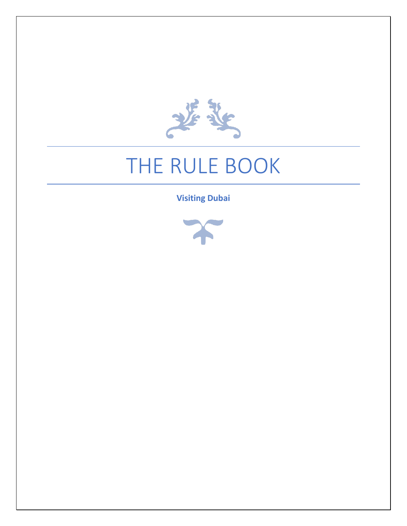

# THE RULE BOOK

**Visiting Dubai**

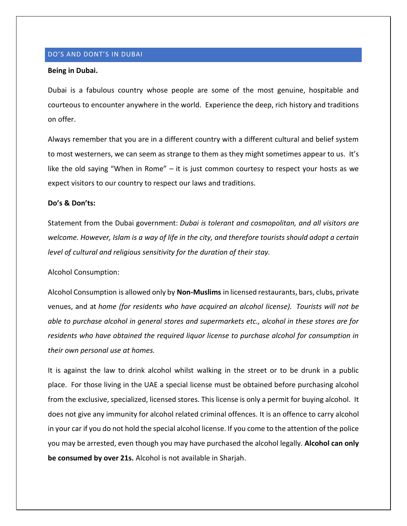# DO'S AND DONT'S IN DUBAI

#### **Being in Dubai.**

Dubai is a fabulous country whose people are some of the most genuine, hospitable and courteous to encounter anywhere in the world. Experience the deep, rich history and traditions on offer.

Always remember that you are in a different country with a different cultural and belief system to most westerners, we can seem as strange to them as they might sometimes appear to us. It's like the old saying "When in Rome" – it is just common courtesy to respect your hosts as we expect visitors to our country to respect our laws and traditions.

# **Do's & Don'ts:**

Statement from the Dubai government: *Dubai is tolerant and cosmopolitan, and all visitors are welcome. However, Islam is a way of life in the city, and therefore tourists should adopt a certain level of cultural and religious sensitivity for the duration of their stay.*

Alcohol Consumption:

Alcohol Consumption is allowed only by **Non-Muslims** in licensed restaurants, bars, clubs, private venues, and at *home (for residents who have acquired an alcohol license). Tourists will not be able to purchase alcohol in general stores and supermarkets etc., alcohol in these stores are for residents who have obtained the required liquor license to purchase alcohol for consumption in their own personal use at homes.*

It is against the law to drink alcohol whilst walking in the street or to be drunk in a public place. For those living in the UAE a special license must be obtained before purchasing alcohol from the exclusive, specialized, licensed stores. This license is only a permit for buying alcohol. It does not give any immunity for alcohol related criminal offences. It is an offence to carry alcohol in your car if you do not hold the special alcohol license. If you come to the attention of the police you may be arrested, even though you may have purchased the alcohol legally. **Alcohol can only be consumed by over 21s.** Alcohol is not available in Sharjah.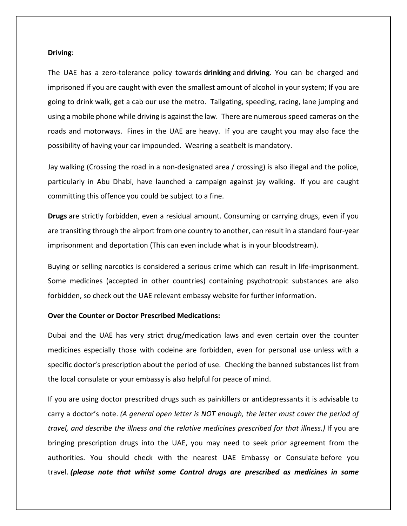#### **Driving**:

The UAE has a zero-tolerance policy towards **drinking** and **driving**. You can be charged and imprisoned if you are caught with even the smallest amount of alcohol in your system; If you are going to drink walk, get a cab our use the metro. Tailgating, speeding, racing, lane jumping and using a mobile phone while driving is against the law. There are numerous speed cameras on the roads and motorways. Fines in the UAE are heavy. If you are caught you may also face the possibility of having your car impounded. Wearing a seatbelt is mandatory.

Jay walking (Crossing the road in a non-designated area / crossing) is also illegal and the police, particularly in Abu Dhabi, have launched a campaign against jay walking. If you are caught committing this offence you could be subject to a fine.

**Drugs** are strictly forbidden, even a residual amount. Consuming or carrying drugs, even if you are transiting through the airport from one country to another, can result in a standard four-year imprisonment and deportation (This can even include what is in your bloodstream).

Buying or selling narcotics is considered a serious crime which can result in life-imprisonment. Some medicines (accepted in other countries) containing psychotropic substances are also forbidden, so check out the UAE relevant embassy website for further information.

### **Over the Counter or Doctor Prescribed Medications:**

Dubai and the UAE has very strict drug/medication laws and even certain over the counter medicines especially those with codeine are forbidden, even for personal use unless with a specific doctor's prescription about the period of use. Checking the banned substances list from the local consulate or your embassy is also helpful for peace of mind.

If you are using doctor prescribed drugs such as painkillers or antidepressants it is advisable to carry a doctor's note. *(A general open letter is NOT enough, the letter must cover the period of travel, and describe the illness and the relative medicines prescribed for that illness.)* If you are bringing prescription drugs into the UAE, you may need to seek prior agreement from the authorities. You should check with the nearest UAE Embassy or Consulate before you travel. *(please note that whilst some Control drugs are prescribed as medicines in some*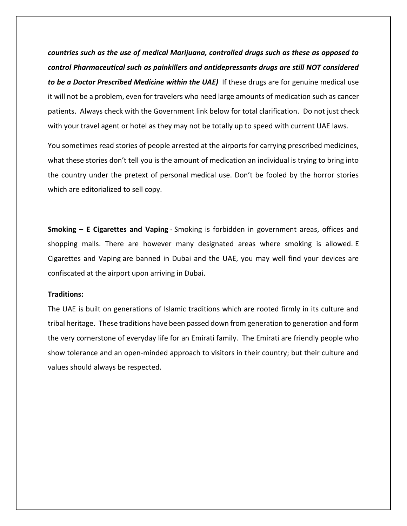*countries such as the use of medical Marijuana, controlled drugs such as these as opposed to control Pharmaceutical such as painkillers and antidepressants drugs are still NOT considered to be a Doctor Prescribed Medicine within the UAE)* If these drugs are for genuine medical use it will not be a problem, even for travelers who need large amounts of medication such as cancer patients. Always check with the Government link below for total clarification. Do not just check with your travel agent or hotel as they may not be totally up to speed with current UAE laws.

You sometimes read stories of people arrested at the airports for carrying prescribed medicines, what these stories don't tell you is the amount of medication an individual is trying to bring into the country under the pretext of personal medical use. Don't be fooled by the horror stories which are editorialized to sell copy.

**Smoking – E Cigarettes and Vaping** - Smoking is forbidden in government areas, offices and shopping malls. There are however many designated areas where smoking is allowed. E Cigarettes and Vaping are banned in Dubai and the UAE, you may well find your devices are confiscated at the airport upon arriving in Dubai.

### **Traditions:**

The UAE is built on generations of Islamic traditions which are rooted firmly in its culture and tribal heritage. These traditions have been passed down from generation to generation and form the very cornerstone of everyday life for an Emirati family. The Emirati are friendly people who show tolerance and an open-minded approach to visitors in their country; but their culture and values should always be respected.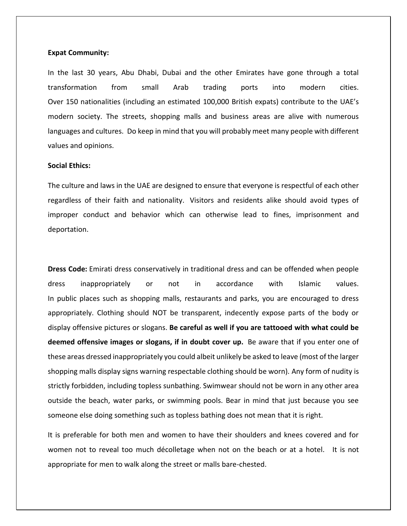### **Expat Community:**

In the last 30 years, Abu Dhabi, Dubai and the other Emirates have gone through a total transformation from small Arab trading ports into modern cities. Over 150 nationalities (including an estimated 100,000 British expats) contribute to the UAE's modern society. The streets, shopping malls and business areas are alive with numerous languages and cultures. Do keep in mind that you will probably meet many people with different values and opinions.

# **Social Ethics:**

The culture and laws in the UAE are designed to ensure that everyone is respectful of each other regardless of their faith and nationality. Visitors and residents alike should avoid types of improper conduct and behavior which can otherwise lead to fines, imprisonment and deportation.

**Dress Code:** Emirati dress conservatively in traditional dress and can be offended when people dress inappropriately or not in accordance with Islamic values. In public places such as shopping malls, restaurants and parks, you are encouraged to dress appropriately. Clothing should NOT be transparent, indecently expose parts of the body or display offensive pictures or slogans. **Be careful as well if you are tattooed with what could be deemed offensive images or slogans, if in doubt cover up.** Be aware that if you enter one of these areas dressed inappropriately you could albeit unlikely be asked to leave (most of the larger shopping malls display signs warning respectable clothing should be worn). Any form of nudity is strictly forbidden, including topless sunbathing. Swimwear should not be worn in any other area outside the beach, water parks, or swimming pools. Bear in mind that just because you see someone else doing something such as topless bathing does not mean that it is right.

It is preferable for both men and women to have their shoulders and knees covered and for women not to reveal too much décolletage when not on the beach or at a hotel. It is not appropriate for men to walk along the street or malls bare-chested.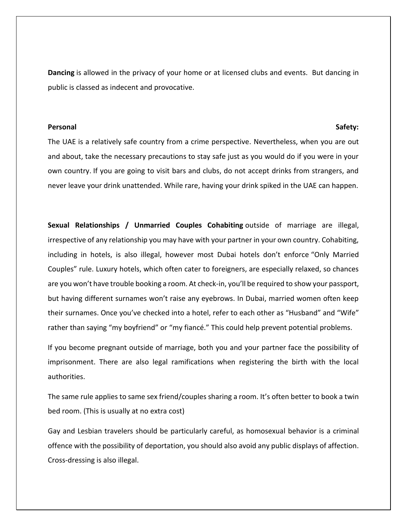**Dancing** is allowed in the privacy of your home or at licensed clubs and events. But dancing in public is classed as indecent and provocative.

# Personal and the second second second second second second second second second second second second second second second second second second second second second second second second second second second second second se

The UAE is a relatively safe country from a crime perspective. Nevertheless, when you are out and about, take the necessary precautions to stay safe just as you would do if you were in your own country. If you are going to visit bars and clubs, do not accept drinks from strangers, and never leave your drink unattended. While rare, having your drink spiked in the UAE can happen.

**Sexual Relationships / Unmarried Couples Cohabiting** outside of marriage are illegal, irrespective of any relationship you may have with your partner in your own country. Cohabiting, including in hotels, is also illegal, however most Dubai hotels don't enforce "Only Married Couples" rule. Luxury hotels, which often cater to foreigners, are especially relaxed, so chances are you won't have trouble booking a room. At check-in, you'll be required to show your passport, but having different surnames won't raise any eyebrows. In Dubai, married women often keep their surnames. Once you've checked into a hotel, refer to each other as "Husband" and "Wife" rather than saying "my boyfriend" or "my fiancé." This could help prevent potential problems.

If you become pregnant outside of marriage, both you and your partner face the possibility of imprisonment. There are also legal ramifications when registering the birth with the local authorities.

The same rule applies to same sex friend/couples sharing a room. It's often better to book a twin bed room. (This is usually at no extra cost)

Gay and Lesbian travelers should be particularly careful, as homosexual behavior is a criminal offence with the possibility of deportation, you should also avoid any public displays of affection. Cross-dressing is also illegal.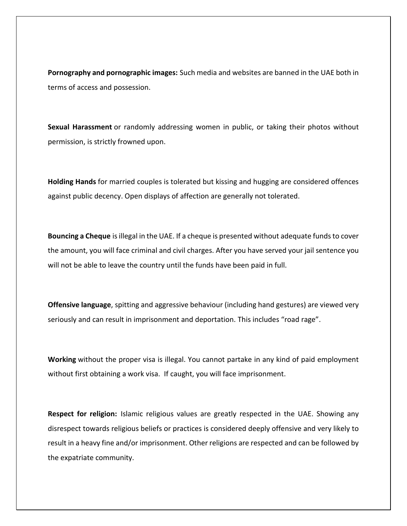**Pornography and pornographic images:** Such media and websites are banned in the UAE both in terms of access and possession.

**Sexual Harassment** or randomly addressing women in public, or taking their photos without permission, is strictly frowned upon.

**Holding Hands** for married couples is tolerated but kissing and hugging are considered offences against public decency. Open displays of affection are generally not tolerated.

**Bouncing a Cheque** is illegal in the UAE. If a cheque is presented without adequate funds to cover the amount, you will face criminal and civil charges. After you have served your jail sentence you will not be able to leave the country until the funds have been paid in full.

**Offensive language**, spitting and aggressive behaviour (including hand gestures) are viewed very seriously and can result in imprisonment and deportation. This includes "road rage".

**Working** without the proper visa is illegal. You cannot partake in any kind of paid employment without first obtaining a work visa. If caught, you will face imprisonment.

**Respect for religion:** Islamic religious values are greatly respected in the UAE. Showing any disrespect towards religious beliefs or practices is considered deeply offensive and very likely to result in a heavy fine and/or imprisonment. Other religions are respected and can be followed by the expatriate community.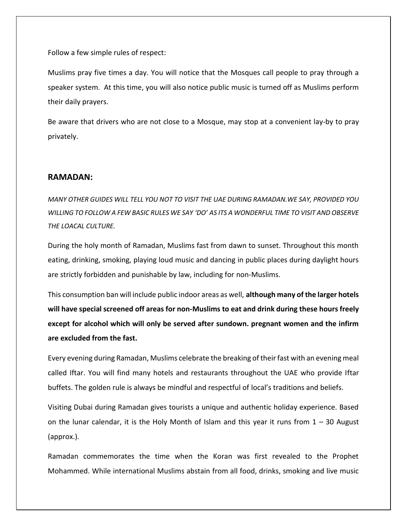Follow a few simple rules of respect:

Muslims pray five times a day. You will notice that the Mosques call people to pray through a speaker system. At this time, you will also notice public music is turned off as Muslims perform their daily prayers.

Be aware that drivers who are not close to a Mosque, may stop at a convenient lay-by to pray privately.

# **RAMADAN:**

*MANY OTHER GUIDES WILL TELL YOU NOT TO VISIT THE UAE DURING RAMADAN.WE SAY, PROVIDED YOU WILLING TO FOLLOW A FEW BASIC RULES WE SAY 'DO' AS ITS A WONDERFUL TIME TO VISIT AND OBSERVE THE LOACAL CULTURE.*

During the holy month of Ramadan, Muslims fast from dawn to sunset. Throughout this month eating, drinking, smoking, playing loud music and dancing in public places during daylight hours are strictly forbidden and punishable by law, including for non-Muslims.

This consumption ban will include public indoor areas as well, **although many of the larger hotels will have special screened off areas for non-Muslims to eat and drink during these hours freely except for alcohol which will only be served after sundown. pregnant women and the infirm are excluded from the fast.**

Every evening during Ramadan, Muslims celebrate the breaking of their fast with an evening meal called Iftar. You will find many hotels and restaurants throughout the UAE who provide Iftar buffets. The golden rule is always be mindful and respectful of local's traditions and beliefs.

Visiting Dubai during Ramadan gives tourists a unique and authentic holiday experience. Based on the lunar calendar, it is the Holy Month of Islam and this year it runs from  $1 - 30$  August (approx.).

Ramadan commemorates the time when the Koran was first revealed to the Prophet Mohammed. While international Muslims abstain from all food, drinks, smoking and live music